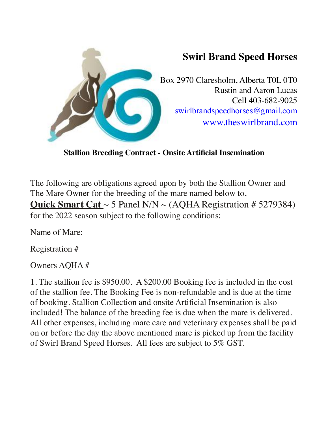

**Stallion Breeding Contract - Onsite Artificial Insemination** 

The following are obligations agreed upon by both the Stallion Owner and The Mare Owner for the breeding of the mare named below to, **Quick Smart Cat** ~ 5 Panel N/N ~ (AQHA Registration # 5279384) for the 2022 season subject to the following conditions:

Name of Mare:

Registration #

Owners AQHA #

1. The stallion fee is \$950.00. A \$200.00 Booking fee is included in the cost of the stallion fee. The Booking Fee is non-refundable and is due at the time of booking. Stallion Collection and onsite Artificial Insemination is also included! The balance of the breeding fee is due when the mare is delivered. All other expenses, including mare care and veterinary expenses shall be paid on or before the day the above mentioned mare is picked up from the facility of Swirl Brand Speed Horses. All fees are subject to 5% GST.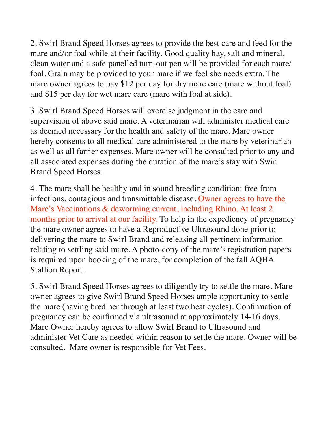2. Swirl Brand Speed Horses agrees to provide the best care and feed for the mare and/or foal while at their facility. Good quality hay, salt and mineral, clean water and a safe panelled turn-out pen will be provided for each mare/ foal. Grain may be provided to your mare if we feel she needs extra. The mare owner agrees to pay \$12 per day for dry mare care (mare without foal) and \$15 per day for wet mare care (mare with foal at side).

3. Swirl Brand Speed Horses will exercise judgment in the care and supervision of above said mare. A veterinarian will administer medical care as deemed necessary for the health and safety of the mare. Mare owner hereby consents to all medical care administered to the mare by veterinarian as well as all farrier expenses. Mare owner will be consulted prior to any and all associated expenses during the duration of the mare's stay with Swirl Brand Speed Horses.

4. The mare shall be healthy and in sound breeding condition: free from infections, contagious and transmittable disease. Owner agrees to have the Mare's Vaccinations & deworming current, including Rhino. At least 2 months prior to arrival at our facility. To help in the expediency of pregnancy the mare owner agrees to have a Reproductive Ultrasound done prior to delivering the mare to Swirl Brand and releasing all pertinent information relating to settling said mare. A photo-copy of the mare's registration papers is required upon booking of the mare, for completion of the fall AQHA Stallion Report.

5. Swirl Brand Speed Horses agrees to diligently try to settle the mare. Mare owner agrees to give Swirl Brand Speed Horses ample opportunity to settle the mare (having bred her through at least two heat cycles). Confirmation of pregnancy can be confirmed via ultrasound at approximately 14-16 days. Mare Owner hereby agrees to allow Swirl Brand to Ultrasound and administer Vet Care as needed within reason to settle the mare. Owner will be consulted. Mare owner is responsible for Vet Fees.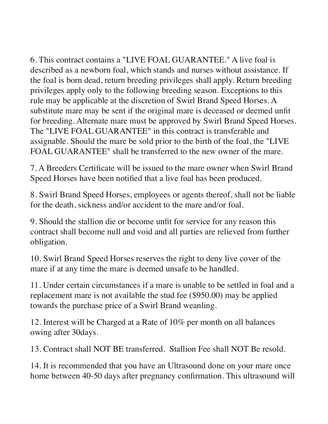6. This contract contains a "LIVE FOAL GUARANTEE." A live foal is described as a newborn foal, which stands and nurses without assistance. If the foal is born dead, return breeding privileges shall apply. Return breeding privileges apply only to the following breeding season. Exceptions to this rule may be applicable at the discretion of Swirl Brand Speed Horses. A substitute mare may be sent if the original mare is deceased or deemed unfit for breeding. Alternate mare must be approved by Swirl Brand Speed Horses. The "LIVE FOAL GUARANTEE" in this contract is transferable and assignable. Should the mare be sold prior to the birth of the foal, the "LIVE FOAL GUARANTEE" shall be transferred to the new owner of the mare.

7. A Breeders Certificate will be issued to the mare owner when Swirl Brand Speed Horses have been notified that a live foal has been produced.

8. Swirl Brand Speed Horses, employees or agents thereof, shall not be liable for the death, sickness and/or accident to the mare and/or foal.

9. Should the stallion die or become unfit for service for any reason this contract shall become null and void and all parties are relieved from further obligation.

10. Swirl Brand Speed Horses reserves the right to deny live cover of the mare if at any time the mare is deemed unsafe to be handled.

11. Under certain circumstances if a mare is unable to be settled in foal and a replacement mare is not available the stud fee (\$950.00) may be applied towards the purchase price of a Swirl Brand weanling.

12. Interest will be Charged at a Rate of 10% per month on all balances owing after 30days.

13. Contract shall NOT BE transferred. Stallion Fee shall NOT Be resold.

14. It is recommended that you have an Ultrasound done on your mare once home between 40-50 days after pregnancy confirmation. This ultrasound will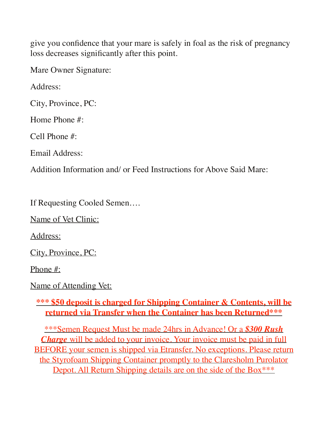give you confidence that your mare is safely in foal as the risk of pregnancy loss decreases significantly after this point.

Mare Owner Signature:

Address:

City, Province, PC:

Home Phone #:

Cell Phone #:

Email Address:

Addition Information and/ or Feed Instructions for Above Said Mare:

If Requesting Cooled Semen….

Name of Vet Clinic:

Address:

City, Province, PC:

Phone #:

Name of Attending Vet:

## **\*\*\* \$50 deposit is charged for Shipping Container & Contents, will be returned via Transfer when the Container has been Returned\*\*\***

\*\*\*Semen Request Must be made 24hrs in Advance! Or a *\$300 Rush Charge* will be added to your invoice. Your invoice must be paid in full BEFORE your semen is shipped via Etransfer. No exceptions. Please return the Styrofoam Shipping Container promptly to the Claresholm Purolator Depot. All Return Shipping details are on the side of the Box<sup>\*\*\*</sup>